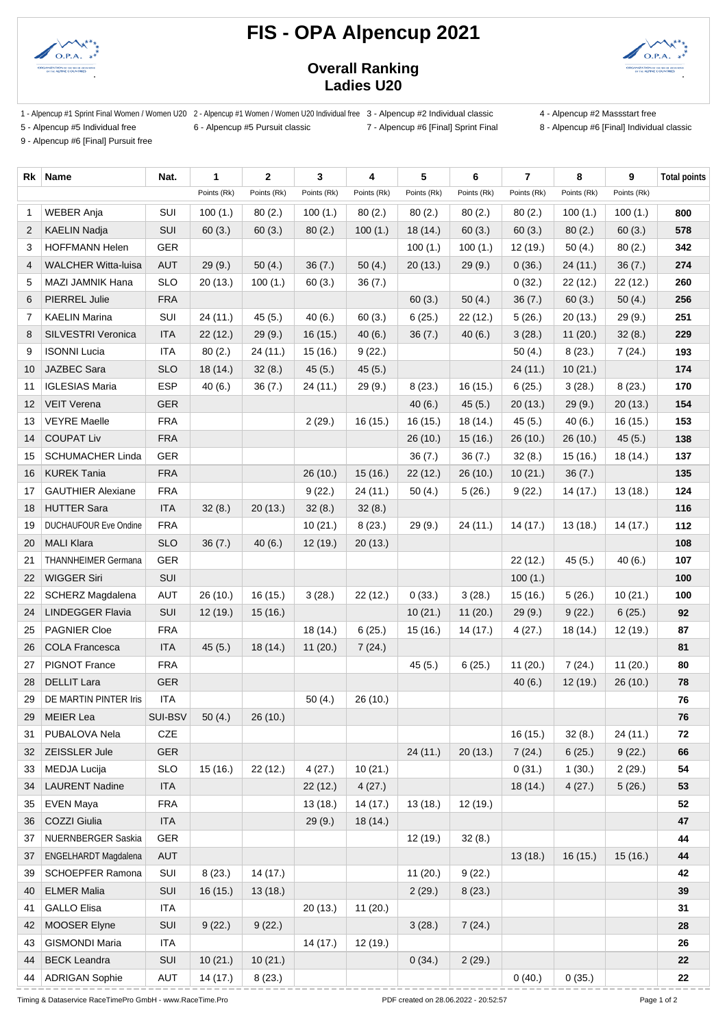

## **FIS - OPA Alpencup 2021**



## **Overall Ranking Ladies U20**

1 - Alpencup #1 Sprint Final Women / Women U20 2 - Alpencup #1 Women / Women U20 Individual free 3 - Alpencup #2 Individual classic 4 - Alpencup #2 Massstart free

5 - Alpencup #5 Individual free 6 - Alpencup #5 Pursuit classic 7 - Alpencup #6 [Final] Sprint Final 8 - Alpencup #6 [Final] Individual classic

9 - Alpencup #6 [Final] Pursuit free

| Rk                | Name                         | Nat.       | 1           | $\overline{2}$ | 3           | 4           | 5           | 6           | $\overline{7}$ | 8           | 9           | <b>Total points</b> |
|-------------------|------------------------------|------------|-------------|----------------|-------------|-------------|-------------|-------------|----------------|-------------|-------------|---------------------|
|                   |                              |            | Points (Rk) | Points (Rk)    | Points (Rk) | Points (Rk) | Points (Rk) | Points (Rk) | Points (Rk)    | Points (Rk) | Points (Rk) |                     |
| 1                 | <b>WEBER Anja</b>            | SUI        | 100(1.)     | 80(2.)         | 100(1.)     | 80(2.)      | 80(2.)      | 80(2.)      | 80(2.)         | 100(1.)     | 100(1.)     | 800                 |
| 2                 | <b>KAELIN Nadja</b>          | SUI        | 60(3.)      | 60(3.)         | 80(2.)      | 100(1.)     | 18(14.)     | 60(3.)      | 60(3.)         | 80(2.)      | 60(3.)      | 578                 |
| 3                 | <b>HOFFMANN Helen</b>        | <b>GER</b> |             |                |             |             | 100(1.)     | 100(1.)     | 12 (19.)       | 50(4.)      | 80(2.)      | 342                 |
| 4                 | <b>WALCHER Witta-luisa</b>   | <b>AUT</b> | 29(9.)      | 50(4.)         | 36(7.)      | 50(4.)      | 20(13.)     | 29(9.)      | 0(36.)         | 24 (11.)    | 36(7.)      | 274                 |
| 5                 | MAZI JAMNIK Hana             | <b>SLO</b> | 20(13.)     | 100(1.)        | 60(3.)      | 36(7.)      |             |             | 0(32.)         | 22 (12.)    | 22(12.)     | 260                 |
| 6                 | PIERREL Julie                | <b>FRA</b> |             |                |             |             | 60(3.)      | 50(4.)      | 36(7.)         | 60(3.)      | 50(4.)      | 256                 |
| 7                 | <b>KAELIN Marina</b>         | SUI        | 24 (11.)    | 45(5.)         | 40(6.)      | 60(3.)      | 6(25.)      | 22(12.)     | 5(26.)         | 20 (13.)    | 29(9.)      | 251                 |
| 8                 | <b>SILVESTRI Veronica</b>    | <b>ITA</b> | 22(12.)     | 29(9.)         | 16(15.)     | 40(6.)      | 36(7.)      | 40(6.)      | 3(28.)         | 11(20.)     | 32(8.)      | 229                 |
| 9                 | <b>ISONNI Lucia</b>          | ITA        | 80(2.)      | 24 (11.)       | 15 (16.)    | 9(22.)      |             |             | 50(4.)         | 8(23.)      | 7(24.)      | 193                 |
| 10                | JAZBEC Sara                  | <b>SLO</b> | 18 (14.)    | 32(8.)         | 45(5.)      | 45(5.)      |             |             | 24(11.)        | 10(21.)     |             | 174                 |
| 11                | <b>IGLESIAS Maria</b>        | <b>ESP</b> | 40(6.)      | 36(7.)         | 24 (11.)    | 29(9.)      | 8(23.)      | 16 (15.)    | 6(25.)         | 3(28.)      | 8(23.)      | 170                 |
| $12 \overline{ }$ | <b>VEIT Verena</b>           | <b>GER</b> |             |                |             |             | 40(6.)      | 45(5.)      | 20(13.)        | 29(9.)      | 20(13.)     | 154                 |
| 13                | <b>VEYRE Maelle</b>          | <b>FRA</b> |             |                | 2(29.)      | 16 (15.)    | 16 (15.)    | 18(14.)     | 45(5.)         | 40(6.)      | 16 (15.)    | 153                 |
| 14                | <b>COUPAT Liv</b>            | <b>FRA</b> |             |                |             |             | 26 (10.)    | 15(16.)     | 26(10.)        | 26 (10.)    | 45(5.)      | 138                 |
| 15                | <b>SCHUMACHER Linda</b>      | <b>GER</b> |             |                |             |             | 36(7.)      | 36(7.)      | 32(8.)         | 15(16.)     | 18 (14.)    | 137                 |
| 16                | <b>KUREK Tania</b>           | <b>FRA</b> |             |                | 26 (10.)    | 15(16.)     | 22(12.)     | 26(10.)     | 10(21.)        | 36(7.)      |             | 135                 |
| 17                | <b>GAUTHIER Alexiane</b>     | <b>FRA</b> |             |                | 9(22.)      | 24 (11.)    | 50(4.)      | 5(26.)      | 9(22.)         | 14 (17.)    | 13(18.)     | 124                 |
| 18                | <b>HUTTER Sara</b>           | <b>ITA</b> | 32(8.)      | 20(13.)        | 32(8.)      | 32(8.)      |             |             |                |             |             | 116                 |
| 19                | <b>DUCHAUFOUR Eve Ondine</b> | <b>FRA</b> |             |                | 10(21.)     | 8(23.)      | 29(9.)      | 24(11)      | 14(17.)        | 13(18.)     | 14(17.)     | 112                 |
| 20                | <b>MALI Klara</b>            | <b>SLO</b> | 36(7.)      | 40(6.)         | 12(19.)     | 20(13.)     |             |             |                |             |             | 108                 |
| 21                | <b>THANNHEIMER Germana</b>   | <b>GER</b> |             |                |             |             |             |             | 22 (12.)       | 45(5.)      | 40(6.)      | 107                 |
| 22                | <b>WIGGER Siri</b>           | SUI        |             |                |             |             |             |             | 100(1.)        |             |             | 100                 |
| 22                | SCHERZ Magdalena             | AUT        | 26 (10.)    | 16(15.)        | 3(28.)      | 22 (12.)    | 0(33.)      | 3(28.)      | 15(16.)        | 5(26.)      | 10(21.)     | 100                 |
| 24                | <b>LINDEGGER Flavia</b>      | SUI        | 12 (19.)    | 15(16.)        |             |             | 10(21.)     | 11(20.)     | 29(9.)         | 9(22.)      | 6(25.)      | 92                  |
| 25                | <b>PAGNIER Cloe</b>          | <b>FRA</b> |             |                | 18(14.)     | 6(25.)      | 15 (16.)    | 14(17.)     | 4(27.)         | 18 (14.)    | 12 (19.)    | 87                  |
| 26                | <b>COLA Francesca</b>        | <b>ITA</b> | 45(5.)      | 18(14.)        | 11(20.)     | 7(24.)      |             |             |                |             |             | 81                  |
| 27                | PIGNOT France                | <b>FRA</b> |             |                |             |             | 45(5.)      | 6(25.)      | 11(20.)        | 7(24.)      | 11(20.)     | 80                  |
| 28                | <b>DELLIT Lara</b>           | <b>GER</b> |             |                |             |             |             |             | 40(6.)         | 12(19.)     | 26(10.)     | 78                  |
| 29                | DE MARTIN PINTER Iris        | <b>ITA</b> |             |                | 50(4.)      | 26(10.)     |             |             |                |             |             | 76                  |
| 29                | <b>MEIER Lea</b>             | SUI-BSV    | 50(4.)      | 26 (10.)       |             |             |             |             |                |             |             | 76                  |
| 31                | PUBALOVA Nela                | CZE        |             |                |             |             |             |             | 16(15.)        | 32(8.)      | 24 (11.)    | 72                  |
| 32                | ZEISSLER Jule                | <b>GER</b> |             |                |             |             | 24(11.)     | 20(13.)     | 7(24.)         | 6(25.)      | 9(22.)      | 66                  |
| 33                | MEDJA Lucija                 | <b>SLO</b> | 15(16.)     | 22(12.)        | 4(27.)      | 10(21.)     |             |             | 0(31.)         | 1(30.)      | 2(29.)      | 54                  |
| 34                | <b>LAURENT Nadine</b>        | <b>ITA</b> |             |                | 22(12.)     | 4(27.)      |             |             | 18 (14.)       | 4(27.)      | 5(26.)      | 53                  |
| 35                | <b>EVEN Maya</b>             | <b>FRA</b> |             |                | 13(18.)     | 14 (17.)    | 13(18.)     | 12(19.)     |                |             |             | 52                  |
| 36                | COZZI Giulia                 | <b>ITA</b> |             |                | 29(9.)      | 18(14.)     |             |             |                |             |             | 47                  |
| 37                | NUERNBERGER Saskia           | GER        |             |                |             |             | 12 (19.)    | 32(8.)      |                |             |             | 44                  |
| 37                | ENGELHARDT Magdalena         | <b>AUT</b> |             |                |             |             |             |             | 13(18.)        | 16(15.)     | 15(16.)     | 44                  |
| 39                | SCHOEPFER Ramona             | SUI        | 8(23.)      | 14(17.)        |             |             | 11(20.)     | 9(22.)      |                |             |             | 42                  |
| 40                | <b>ELMER Malia</b>           | SUI        | 16(15.)     | 13(18.)        |             |             | 2(29.)      | 8(23.)      |                |             |             | 39                  |
| 41                | <b>GALLO Elisa</b>           | <b>ITA</b> |             |                | 20(13.)     | 11(20.)     |             |             |                |             |             | 31                  |
| 42                | <b>MOOSER Elyne</b>          | SUI        | 9(22.)      | 9(22.)         |             |             | 3(28.)      | 7(24.)      |                |             |             | 28                  |
| 43                | <b>GISMONDI Maria</b>        | <b>ITA</b> |             |                | 14 (17.)    | 12(19.)     |             |             |                |             |             | 26                  |
| 44                | <b>BECK Leandra</b>          | SUI        | 10(21.)     | 10(21.)        |             |             | 0(34.)      | 2(29.)      |                |             |             | 22                  |
| 44                | <b>ADRIGAN Sophie</b>        | AUT        | 14 (17.)    | 8(23.)         |             |             |             |             | 0(40.)         | 0(35.)      |             | 22                  |

Timing & Dataservice RaceTimePro GmbH - www.RaceTime.Pro Page 1 of 2 PDF created on 28.06.2022 - 20:52:57